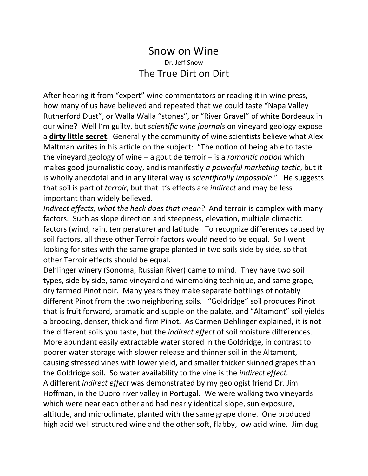## Snow on Wine Dr. Jeff Snow The True Dirt on Dirt

After hearing it from "expert" wine commentators or reading it in wine press, how many of us have believed and repeated that we could taste "Napa Valley Rutherford Dust", or Walla Walla "stones", or "River Gravel" of white Bordeaux in our wine? Well I'm guilty, but *scientific wine journals* on vineyard geology expose a **dirty little secret**. Generally the community of wine scientists believe what Alex Maltman writes in his article on the subject: "The notion of being able to taste the vineyard geology of wine – a gout de terroir – is a *romantic notion* which makes good journalistic copy, and is manifestly *a powerful marketing tactic*, but it is wholly anecdotal and in any literal way *is scientifically impossible*." He suggests that soil is part of *terroir*, but that it's effects are *indirect* and may be less important than widely believed.

*Indirect effects, what the heck does that mean*? And terroir is complex with many factors. Such as slope direction and steepness, elevation, multiple climactic factors (wind, rain, temperature) and latitude. To recognize differences caused by soil factors, all these other Terroir factors would need to be equal. So I went looking for sites with the same grape planted in two soils side by side, so that other Terroir effects should be equal.

Dehlinger winery (Sonoma, Russian River) came to mind. They have two soil types, side by side, same vineyard and winemaking technique, and same grape, dry farmed Pinot noir. Many years they make separate bottlings of notably different Pinot from the two neighboring soils. "Goldridge" soil produces Pinot that is fruit forward, aromatic and supple on the palate, and "Altamont" soil yields a brooding, denser, thick and firm Pinot. As Carmen Dehlinger explained, it is not the different soils you taste, but the *indirect effect* of soil moisture differences. More abundant easily extractable water stored in the Goldridge, in contrast to poorer water storage with slower release and thinner soil in the Altamont, causing stressed vines with lower yield, and smaller thicker skinned grapes than the Goldridge soil. So water availability to the vine is the *indirect effect.* A different *indirect effect* was demonstrated by my geologist friend Dr. Jim Hoffman, in the Duoro river valley in Portugal. We were walking two vineyards which were near each other and had nearly identical slope, sun exposure, altitude, and microclimate, planted with the same grape clone. One produced high acid well structured wine and the other soft, flabby, low acid wine. Jim dug